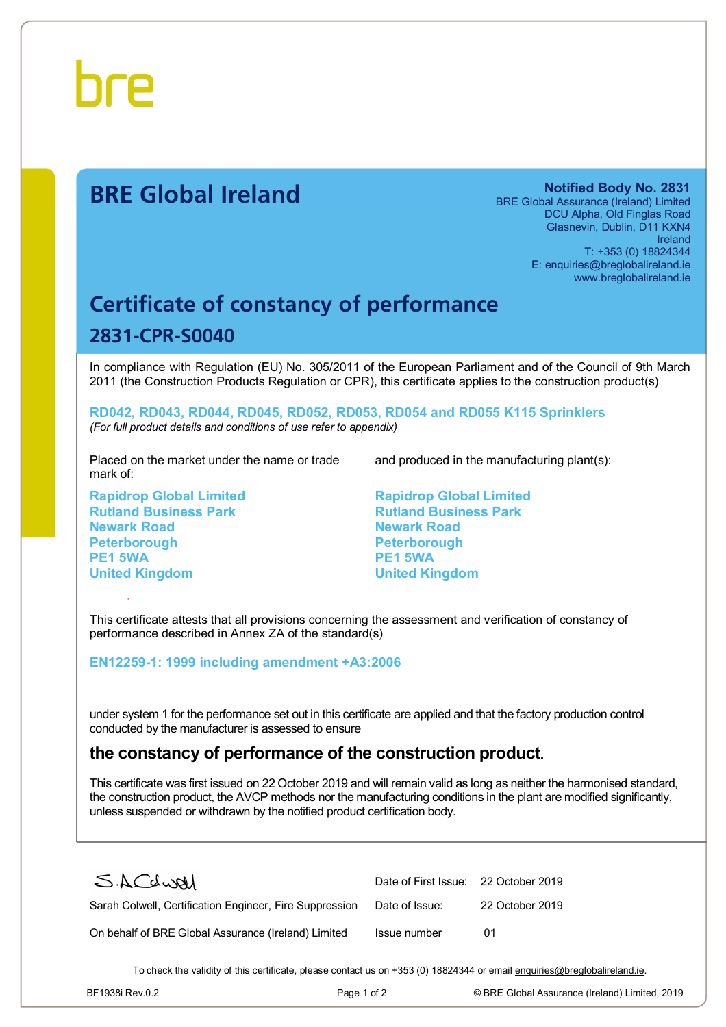

# **BRE Global Ireland Notified Body No. 2831**

BRE Global Assurance (Ireland) Limited DCU Alpha, Old Finglas Road Glasnevin, Dublin, D11 KXN4 Ireland T: +353 (0) 18824344 E: [enquiries@breglobalireland.ie](mailto:enquiries@breglobalireland.ie)  [www.breglobalireland.ie](http://www.breglobalireland.ie)

# **Certificate of constancy of performance 2831-CPR-S0040**

In compliance with Regulation (EU) No. 305/2011 of the European Parliament and of the Council of 9th March 2011 (the Construction Products Regulation or CPR), this certificate applies to the construction product(s)

**RD042, RD043, RD044, RD045, RD052, RD053, RD054 and RD055 K115 Sprinklers**  *(For full product details and conditions of use refer to appendix)* 

Placed on the market under the name or trade mark of:

**Rapidrop Global Limited Rutland Business Park Newark Road Peterborough PE1 5WA United Kingdom** 

and produced in the manufacturing plant(s):

**Rapidrop Global Limited Rutland Business Park Newark Road Peterborough PE1 5WA United Kingdom** 

This certificate attests that all provisions concerning the assessment and verification of constancy of performance described in Annex ZA of the standard(s)

#### **EN12259-1: 1999 including amendment +A3:2006**

under system 1 for the performance set out in this certificate are applied and that the factory production control conducted by the manufacturer is assessed to ensure

## **the constancy of performance of the construction product.**

This certificate was first issued on 22 October 2019 and will remain valid as long as neither the harmonised standard, the construction product, the AVCP methods nor the manufacturing conditions in the plant are modified significantly, unless suspended or withdrawn by the notified product certification body.

| SACLURI                                                 | Date of First Issue: 22 October 2019 |                 |
|---------------------------------------------------------|--------------------------------------|-----------------|
| Sarah Colwell, Certification Engineer, Fire Suppression | Date of Issue:                       | 22 October 2019 |
| On behalf of BRE Global Assurance (Ireland) Limited     | Issue number                         | 01              |

To check the validity of this certificate, please contact us on +353 (0) 18824344 or email [enquiries@breglobalireland.ie](mailto:enquiries@breglobalireland.ie).